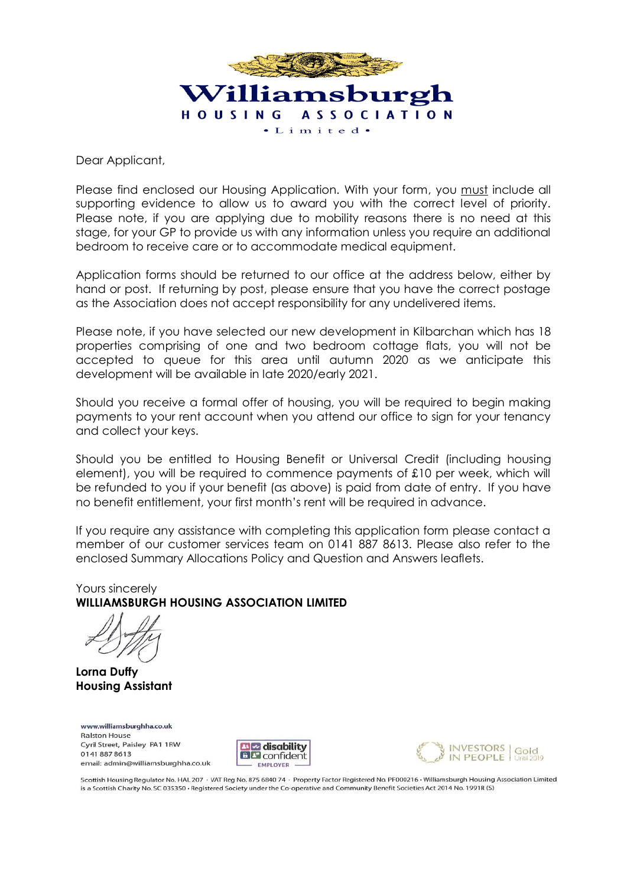

Dear Applicant,

Please find enclosed our Housing Application. With your form, you must include all supporting evidence to allow us to award you with the correct level of priority. Please note, if you are applying due to mobility reasons there is no need at this stage, for your GP to provide us with any information unless you require an additional bedroom to receive care or to accommodate medical equipment.

Application forms should be returned to our office at the address below, either by hand or post. If returning by post, please ensure that you have the correct postage as the Association does not accept responsibility for any undelivered items.

Please note, if you have selected our new development in Kilbarchan which has 18 properties comprising of one and two bedroom cottage flats, you will not be accepted to queue for this area until autumn 2020 as we anticipate this development will be available in late 2020/early 2021.

Should you receive a formal offer of housing, you will be required to begin making payments to your rent account when you attend our office to sign for your tenancy and collect your keys.

Should you be entitled to Housing Benefit or Universal Credit (including housing element), you will be required to commence payments of £10 per week, which will be refunded to you if your benefit (as above) is paid from date of entry. If you have no benefit entitlement, your first month's rent will be required in advance.

If you require any assistance with completing this application form please contact a member of our customer services team on 0141 887 8613. Please also refer to the enclosed Summary Allocations Policy and Question and Answers leaflets.

Yours sincerely **WILLIAMSBURGH HOUSING ASSOCIATION LIMITED**

**Lorna Duffy Housing Assistant**

www.williamsburghha.co.uk **Ralston House** Cyril Street, Paisley PA1 1RW 01418878613 email: admin@williamsburghha.co.uk





Scottish Housing Regulator No. HAL 207 · VAT Reg No. 875 6840 74 · Property Factor Registered No. PF000216 · Williamsburgh Housing Association Limited is a Scottish Charity No. SC 035350 · Registered Society under the Co-operative and Community Benefit Societies Act 2014 No. 1991R (S)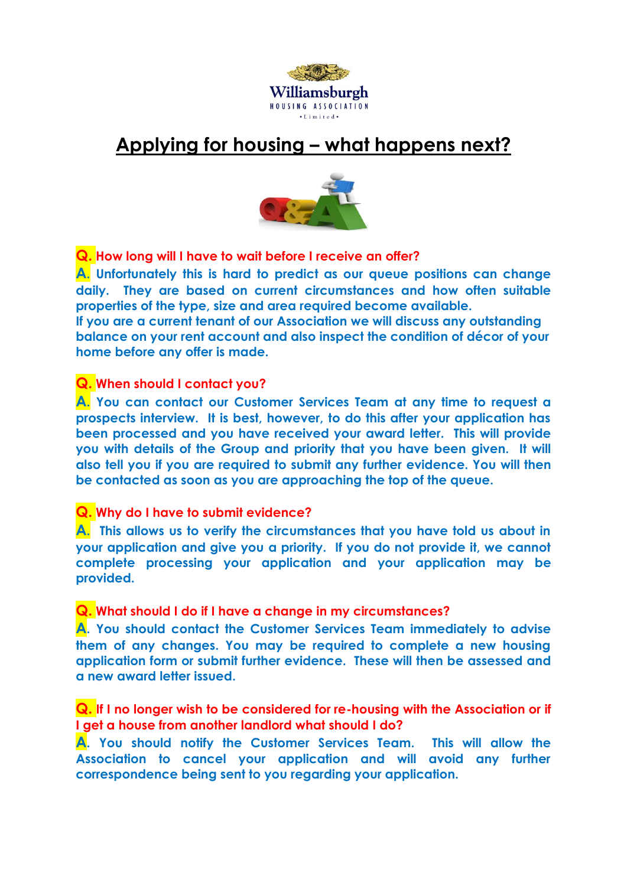

# **Applying for housing – what happens next?**



**Q. How long will I have to wait before I receive an offer?**

**A. Unfortunately this is hard to predict as our queue positions can change daily. They are based on current circumstances and how often suitable properties of the type, size and area required become available.**

**If you are a current tenant of our Association we will discuss any outstanding balance on your rent account and also inspect the condition of décor of your home before any offer is made.**

## **Q. When should I contact you?**

**A. You can contact our Customer Services Team at any time to request a prospects interview. It is best, however, to do this after your application has been processed and you have received your award letter. This will provide you with details of the Group and priority that you have been given. It will also tell you if you are required to submit any further evidence. You will then be contacted as soon as you are approaching the top of the queue.**

**Q. Why do I have to submit evidence?**

**A. This allows us to verify the circumstances that you have told us about in your application and give you a priority. If you do not provide it, we cannot complete processing your application and your application may be provided.**

## **Q. What should I do if I have a change in my circumstances?**

**A. You should contact the Customer Services Team immediately to advise them of any changes. You may be required to complete a new housing application form or submit further evidence. These will then be assessed and a new award letter issued.**

**Q. If I no longer wish to be considered for re-housing with the Association or if I get a house from another landlord what should I do?**

**A. You should notify the Customer Services Team. This will allow the Association to cancel your application and will avoid any further correspondence being sent to you regarding your application.**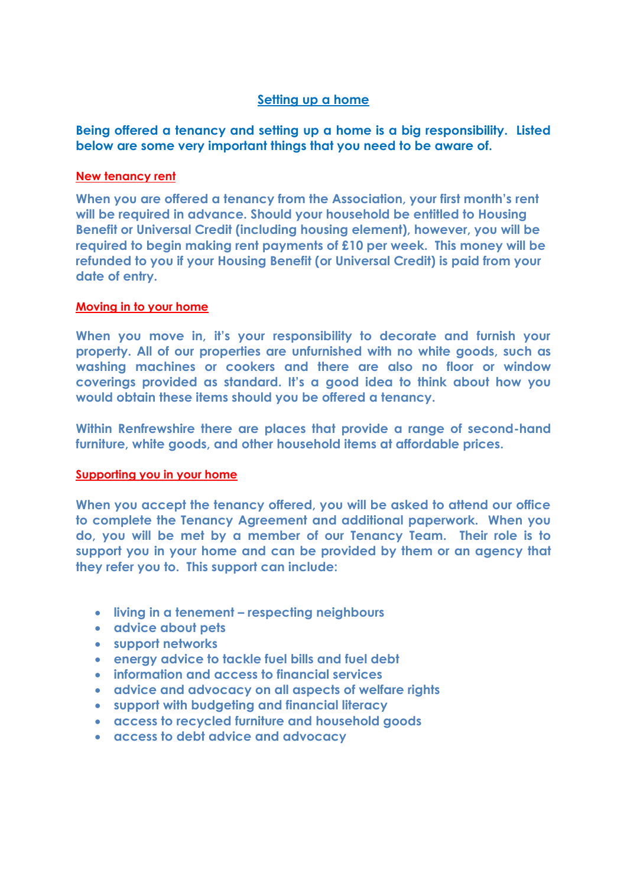### **Setting up a home**

## **Being offered a tenancy and setting up a home is a big responsibility. Listed below are some very important things that you need to be aware of.**

### **New tenancy rent**

**When you are offered a tenancy from the Association, your first month's rent will be required in advance. Should your household be entitled to Housing Benefit or Universal Credit (including housing element), however, you will be required to begin making rent payments of £10 per week. This money will be refunded to you if your Housing Benefit (or Universal Credit) is paid from your date of entry.** 

### **Moving in to your home**

**When you move in, it's your responsibility to decorate and furnish your property. All of our properties are unfurnished with no white goods, such as washing machines or cookers and there are also no floor or window coverings provided as standard. It's a good idea to think about how you would obtain these items should you be offered a tenancy.** 

**Within Renfrewshire there are places that provide a range of second-hand furniture, white goods, and other household items at affordable prices.**

#### **Supporting you in your home**

**When you accept the tenancy offered, you will be asked to attend our office to complete the Tenancy Agreement and additional paperwork. When you do, you will be met by a member of our Tenancy Team. Their role is to support you in your home and can be provided by them or an agency that they refer you to. This support can include:**

- **living in a tenement – respecting neighbours**
- **advice about pets**
- **support networks**
- **[energy advice to tackle fuel bills and fuel debt](http://www.linstone.co.uk/our-houses/help-with-your-tenancy/connect4renfrewshire/energy-advice)**
- **information and access to financial services**
- **advice and advocacy on all aspects of welfare rights**
- **support with budgeting and financial literacy**
- **access to recycled furniture and household goods**
- **access to debt advice and advocacy**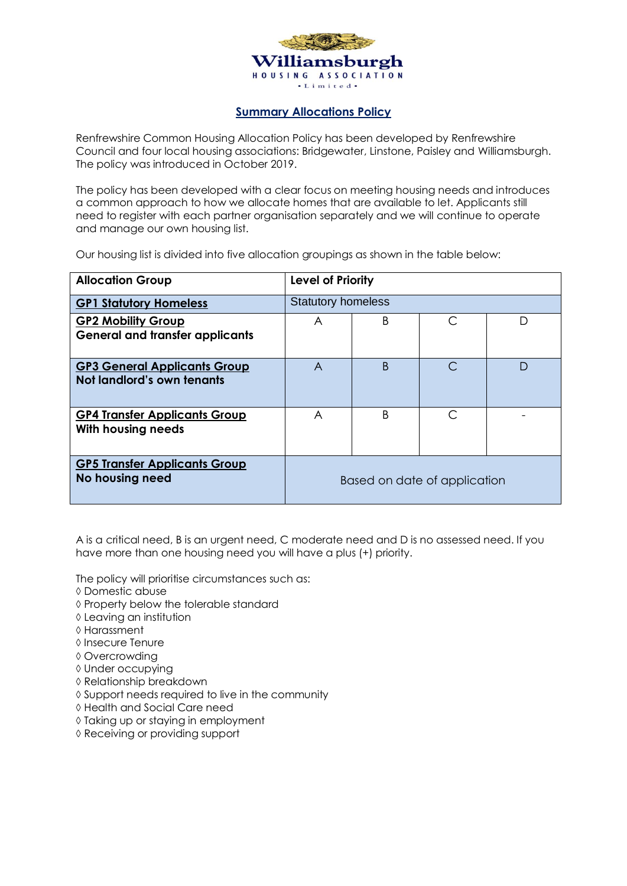

#### **Summary Allocations Policy**

Renfrewshire Common Housing Allocation Policy has been developed by Renfrewshire Council and four local housing associations: Bridgewater, Linstone, Paisley and Williamsburgh. The policy was introduced in October 2019.

The policy has been developed with a clear focus on meeting housing needs and introduces a common approach to how we allocate homes that are available to let. Applicants still need to register with each partner organisation separately and we will continue to operate and manage our own housing list.

Our housing list is divided into five allocation groupings as shown in the table below:

| <b>Allocation Group</b>                                             | Level of Priority            |              |   |   |  |  |  |  |  |  |  |  |
|---------------------------------------------------------------------|------------------------------|--------------|---|---|--|--|--|--|--|--|--|--|
| <b>GP1 Statutory Homeless</b>                                       | <b>Statutory homeless</b>    |              |   |   |  |  |  |  |  |  |  |  |
| <b>GP2 Mobility Group</b><br><b>General and transfer applicants</b> | A                            | B.           | C | D |  |  |  |  |  |  |  |  |
| <b>GP3 General Applicants Group</b><br>Not landlord's own tenants   | A                            | <sub>B</sub> | C | D |  |  |  |  |  |  |  |  |
| <b>GP4 Transfer Applicants Group</b><br>With housing needs          | A                            | B            | ◯ |   |  |  |  |  |  |  |  |  |
| <b>GP5 Transfer Applicants Group</b><br>No housing need             | Based on date of application |              |   |   |  |  |  |  |  |  |  |  |

A is a critical need, B is an urgent need, C moderate need and D is no assessed need. If you have more than one housing need you will have a plus (+) priority.

The policy will prioritise circumstances such as:

- Domestic abuse
- $\diamond$  Property below the tolerable standard
- Leaving an institution
- Harassment
- **↓** Insecure Tenure
- Overcrowding
- Under occupying
- Relationship breakdown
- $\Diamond$  Support needs required to live in the community
- Health and Social Care need
- $\Diamond$  Taking up or staying in employment
- Receiving or providing support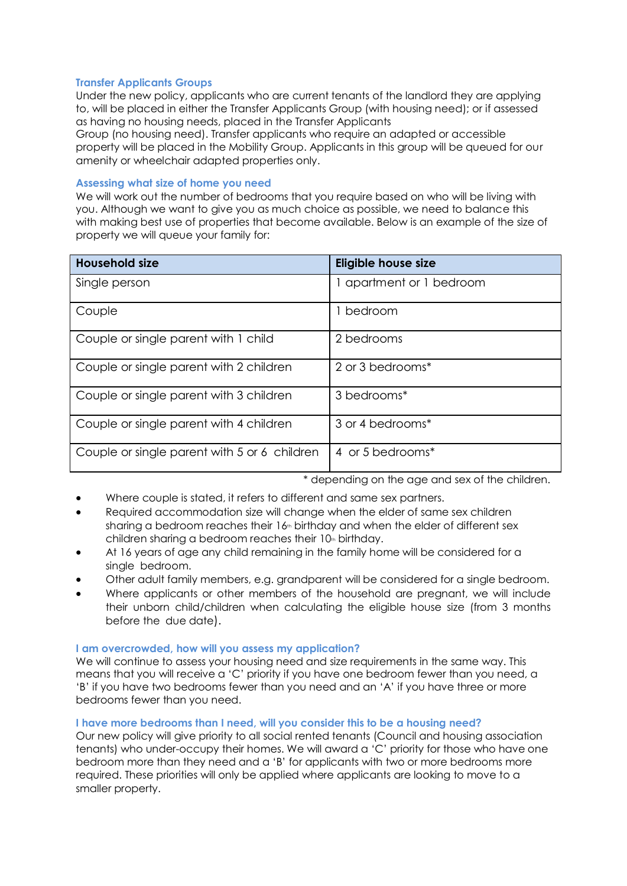#### **Transfer Applicants Groups**

Under the new policy, applicants who are current tenants of the landlord they are applying to, will be placed in either the Transfer Applicants Group (with housing need); or if assessed as having no housing needs, placed in the Transfer Applicants

Group (no housing need). Transfer applicants who require an adapted or accessible property will be placed in the Mobility Group. Applicants in this group will be queued for our amenity or wheelchair adapted properties only.

#### **Assessing what size of home you need**

We will work out the number of bedrooms that you require based on who will be living with you. Although we want to give you as much choice as possible, we need to balance this with making best use of properties that become available. Below is an example of the size of property we will queue your family for:

| <b>Household size</b>                        | <b>Eligible house size</b> |
|----------------------------------------------|----------------------------|
| Single person                                | 1 apartment or 1 bedroom   |
| Couple                                       | 1 bedroom                  |
| Couple or single parent with 1 child         | 2 bedrooms                 |
| Couple or single parent with 2 children      | 2 or 3 bedrooms*           |
| Couple or single parent with 3 children      | 3 bedrooms*                |
| Couple or single parent with 4 children      | 3 or 4 bedrooms*           |
| Couple or single parent with 5 or 6 children | 4 or 5 bedrooms*           |

\* depending on the age and sex of the children.

- Where couple is stated, it refers to different and same sex partners.
- Required accommodation size will change when the elder of same sex children sharing a bedroom reaches their  $16<sub>th</sub>$  birthday and when the elder of different sex children sharing a bedroom reaches their 10th birthday.
- At 16 years of age any child remaining in the family home will be considered for a single bedroom.
- Other adult family members, e.g. grandparent will be considered for a single bedroom.
- Where applicants or other members of the household are pregnant, we will include their unborn child/children when calculating the eligible house size (from 3 months before the due date).

#### **I am overcrowded, how will you assess my application?**

We will continue to assess your housing need and size requirements in the same way. This means that you will receive a 'C' priority if you have one bedroom fewer than you need, a 'B' if you have two bedrooms fewer than you need and an 'A' if you have three or more bedrooms fewer than you need.

#### **I have more bedrooms than I need, will you consider this to be a housing need?**

Our new policy will give priority to all social rented tenants (Council and housing association tenants) who under-occupy their homes. We will award a 'C' priority for those who have one bedroom more than they need and a 'B' for applicants with two or more bedrooms more required. These priorities will only be applied where applicants are looking to move to a smaller property.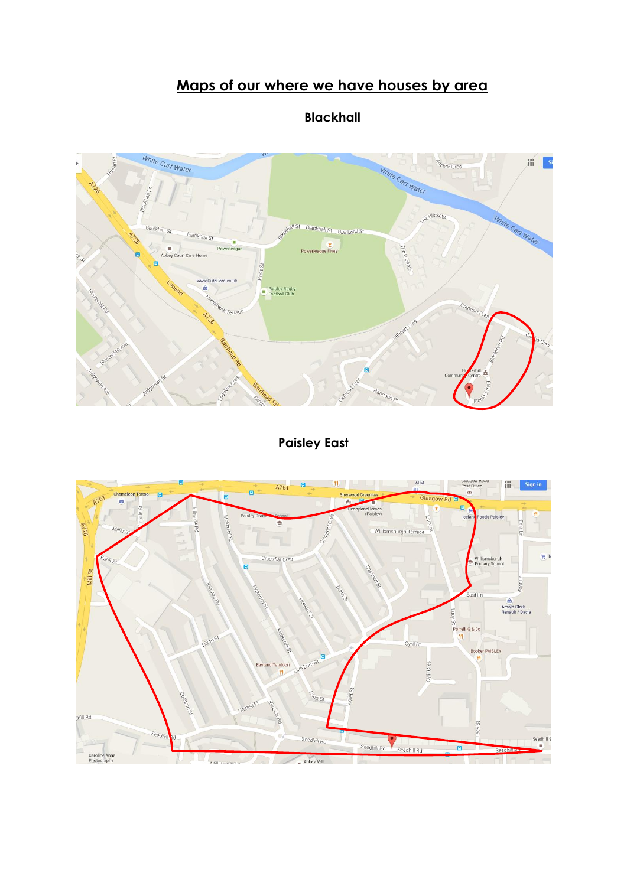## **Maps of our where we have houses by area**



**Blackhall**

**Paisley East**

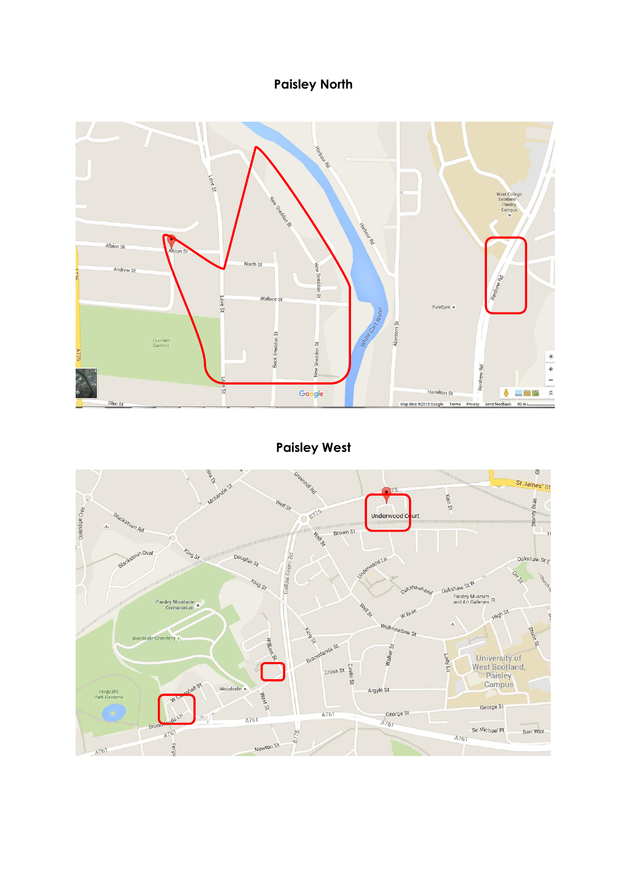## **Paisley North**



**Paisley West**

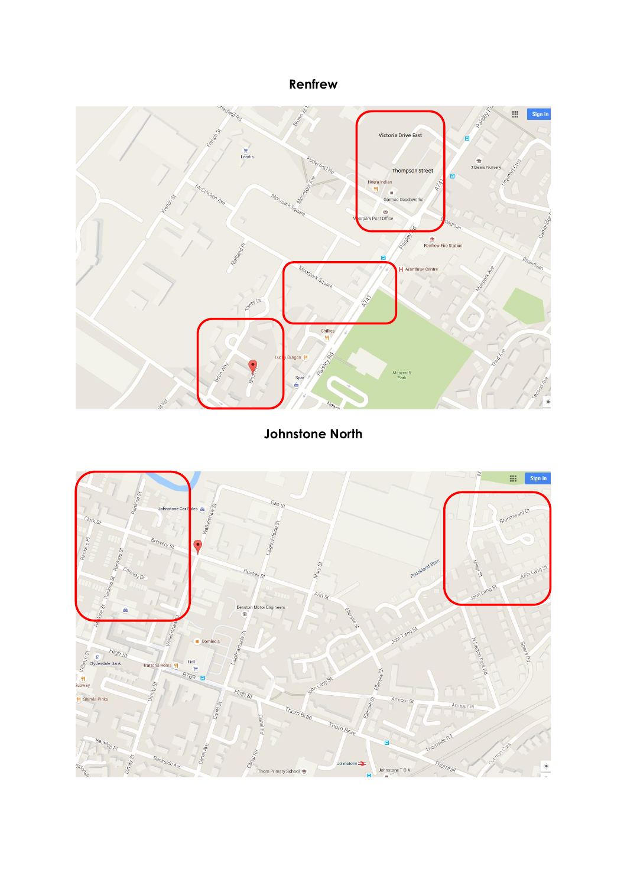## **Renfrew**



## **Johnstone North**

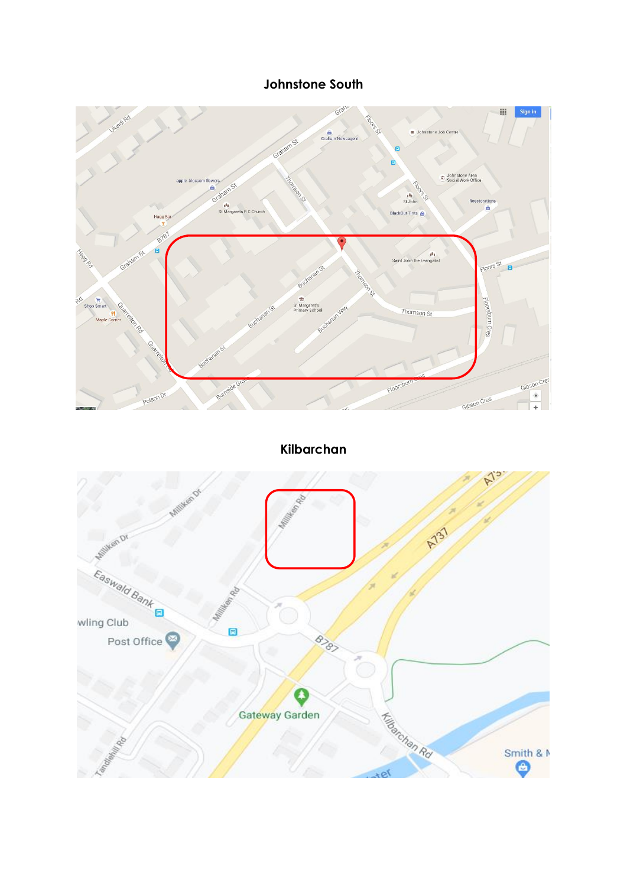### **Johnstone South**



**Kilbarchan**

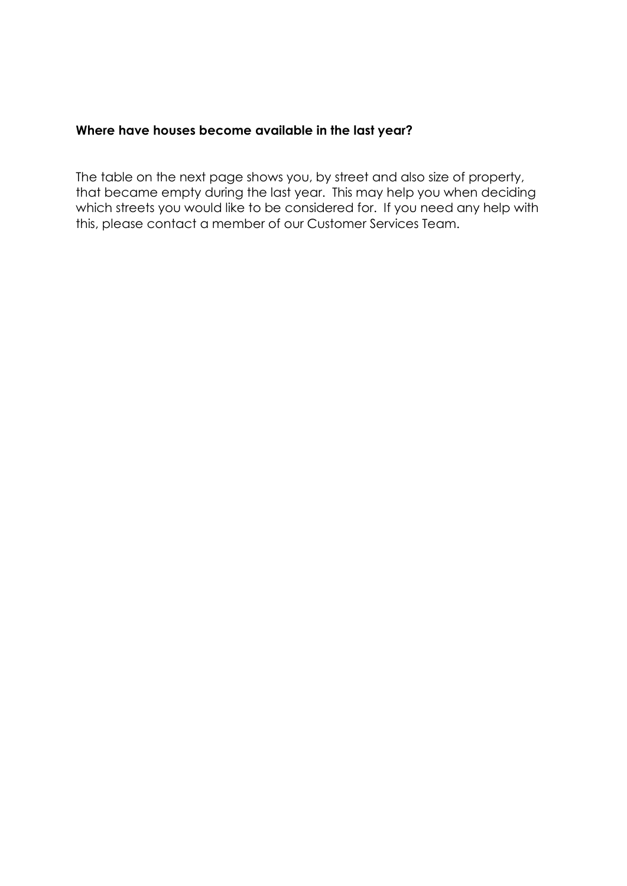## **Where have houses become available in the last year?**

The table on the next page shows you, by street and also size of property, that became empty during the last year. This may help you when deciding which streets you would like to be considered for. If you need any help with this, please contact a member of our Customer Services Team.